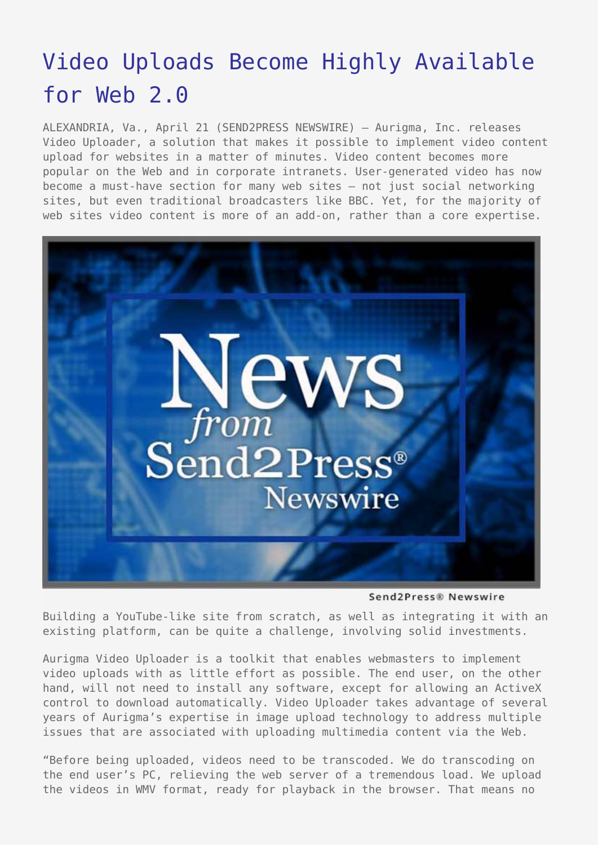## [Video Uploads Become Highly Available](https://www.send2press.com/wire/2009-04-0421-003/) [for Web 2.0](https://www.send2press.com/wire/2009-04-0421-003/)

ALEXANDRIA, Va., April 21 (SEND2PRESS NEWSWIRE) — Aurigma, Inc. releases Video Uploader, a solution that makes it possible to implement video content upload for websites in a matter of minutes. Video content becomes more popular on the Web and in corporate intranets. User-generated video has now become a must-have section for many web sites – not just social networking sites, but even traditional broadcasters like BBC. Yet, for the majority of web sites video content is more of an add-on, rather than a core expertise.



Send2Press® Newswire

Building a YouTube-like site from scratch, as well as integrating it with an existing platform, can be quite a challenge, involving solid investments.

Aurigma Video Uploader is a toolkit that enables webmasters to implement video uploads with as little effort as possible. The end user, on the other hand, will not need to install any software, except for allowing an ActiveX control to download automatically. Video Uploader takes advantage of several years of Aurigma's expertise in image upload technology to address multiple issues that are associated with uploading multimedia content via the Web.

"Before being uploaded, videos need to be transcoded. We do transcoding on the end user's PC, relieving the web server of a tremendous load. We upload the videos in WMV format, ready for playback in the browser. That means no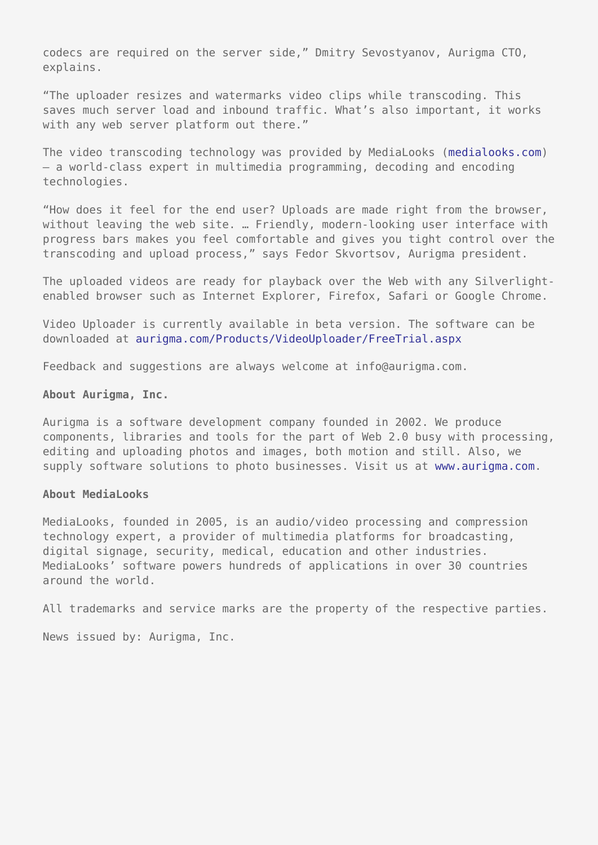codecs are required on the server side," Dmitry Sevostyanov, Aurigma CTO, explains.

"The uploader resizes and watermarks video clips while transcoding. This saves much server load and inbound traffic. What's also important, it works with any web server platform out there."

The video transcoding technology was provided by MediaLooks [\(medialooks.com](http://www.medialooks.com)) – a world-class expert in multimedia programming, decoding and encoding technologies.

"How does it feel for the end user? Uploads are made right from the browser, without leaving the web site. … Friendly, modern-looking user interface with progress bars makes you feel comfortable and gives you tight control over the transcoding and upload process," says Fedor Skvortsov, Aurigma president.

The uploaded videos are ready for playback over the Web with any Silverlightenabled browser such as Internet Explorer, Firefox, Safari or Google Chrome.

Video Uploader is currently available in beta version. The software can be downloaded at [aurigma.com/Products/VideoUploader/FreeTrial.aspx](http://www.aurigma.com/Products/VideoUploader/FreeTrial.aspx)

Feedback and suggestions are always welcome at info@aurigma.com.

## **About Aurigma, Inc.**

Aurigma is a software development company founded in 2002. We produce components, libraries and tools for the part of Web 2.0 busy with processing, editing and uploading photos and images, both motion and still. Also, we supply software solutions to photo businesses. Visit us at [www.aurigma.com.](http://www.aurigma.com)

## **About MediaLooks**

MediaLooks, founded in 2005, is an audio/video processing and compression technology expert, a provider of multimedia platforms for broadcasting, digital signage, security, medical, education and other industries. MediaLooks' software powers hundreds of applications in over 30 countries around the world.

All trademarks and service marks are the property of the respective parties.

News issued by: Aurigma, Inc.